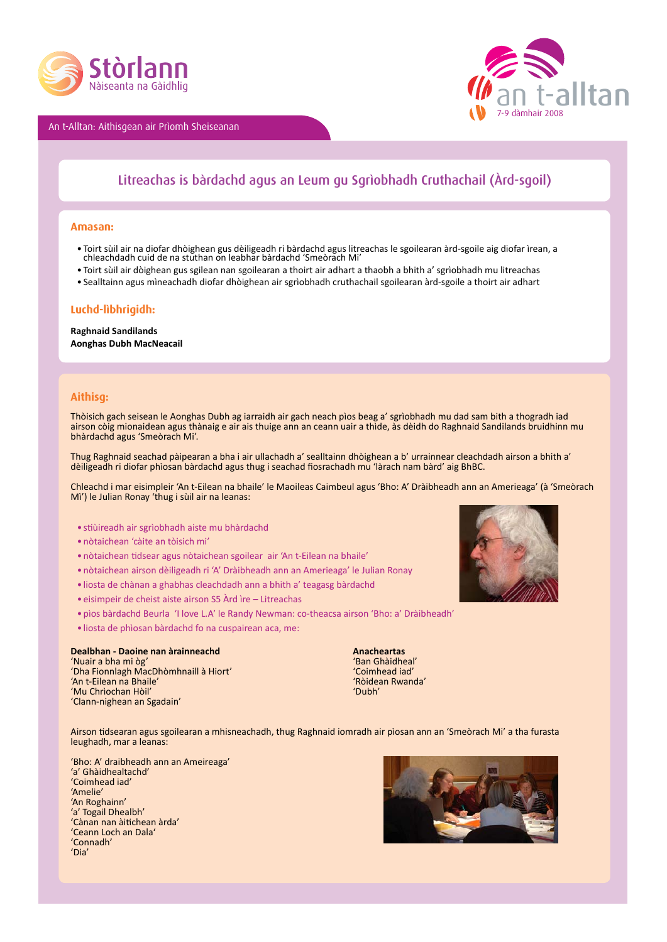

An t-Alltan: Aithisgean air Prìomh Sheiseanan



## Litreachas is bàrdachd agus an Leum gu Sgrìobhadh Cruthachail (Àrd-sgoil)

#### **Amasan:**

- Toirt sùil air na diofar dhòighean gus dèiligeadh ri bàrdachd agus litreachas le sgoilearan àrd-sgoile aig diofar ìrean, a chleachdadh cuid de na stuthan on leabhar bàrdachd 'Smeòrach Mi'
- • Toirt sùil air dòighean gus sgilean nan sgoilearan a thoirt air adhart a thaobh a bhith a' sgrìobhadh mu litreachas
- • Sealltainn agus mìneachadh diofar dhòighean air sgrìobhadh cruthachail sgoilearan àrd-sgoile a thoirt air adhart

### **Luchd-lìbhrigidh:**

**Raghnaid Sandilands Aonghas Dubh MacNeacail**

#### **Aithisg:**

Thòisich gach seisean le Aonghas Dubh ag iarraidh air gach neach pìos beag a' sgrìobhadh mu dad sam bith a thogradh iad airson còig mionaidean agus thànaig e air ais thuige ann an ceann uair a thìde, às dèidh do Raghnaid Sandilands bruidhinn mu bhàrdachd agus 'Smeòrach Mi'.

Thug Raghnaid seachad pàipearan a bha i air ullachadh a' sealltainn dhòighean a b' urrainnear cleachdadh airson a bhith a' dèiligeadh ri diofar phìosan bàrdachd agus thug i seachad fiosrachadh mu 'làrach nam bàrd' aig BhBC.

Chleachd i mar eisimpleir 'An t-Eilean na bhaile' le Maoileas Caimbeul agus 'Bho: A' Dràibheadh ann an Amerieaga' (à 'Smeòrach Mì') le Julian Ronay 'thug i sùil air na leanas:

- • stiùireadh air sgrìobhadh aiste mu bhàrdachd
- • nòtaichean 'càite an tòisich mi'
- • nòtaichean tidsear agus nòtaichean sgoilear air 'An t-Eilean na bhaile'
- • nòtaichean airson dèiligeadh ri 'A' Dràibheadh ann an Amerieaga' le Julian Ronay
- • liosta de chànan a ghabhas cleachdadh ann a bhith a' teagasg bàrdachd
- eisimpeir de cheist aiste airson S5 Àrd ìre Litreachas
- • pìos bàrdachd Beurla 'I love L.A' le Randy Newman: co-theacsa airson 'Bho: a' Dràibheadh'
- • liosta de phìosan bàrdachd fo na cuspairean aca, me:

# **Dealbhan - Daoine nan àrainneachd<br>
Anacheartas <b>Anacheartas**<br> **Anair** a bha mi òg'

'Nuair a bha mi òg' 'Ban Ghàidheal' **Tha Fionnlagh MacDhòmhnaill à Hiort' National ann an Seannaich ann an Seannaich an Seannaich an Seannaich an** Seannaich an Amhaid an Amhaid an Aonaich an t-Eilean na Bhaile' **An Seannaich an Seannaich an Seannaich an Se** 'An t-Eilean na Bhaile' 'Ròidean Rwanda' 'Mu Chrìochan Hòil' 'Clann-nighean an Sgadain'

Airson tidsearan agus sgoilearan a mhisneachadh, thug Raghnaid iomradh air pìosan ann an 'Smeòrach Mi' a tha furasta leughadh, mar a leanas:

'Bho: A' draibheadh ann an Ameireaga' 'a' Ghàidhealtachd' 'Coimhead iad' 'Amelie' 'An Roghainn' 'a' Togail Dhealbh' 'Cànan nan àitichean àrda' 'Ceann Loch an Dala' 'Connadh' 'Dia'